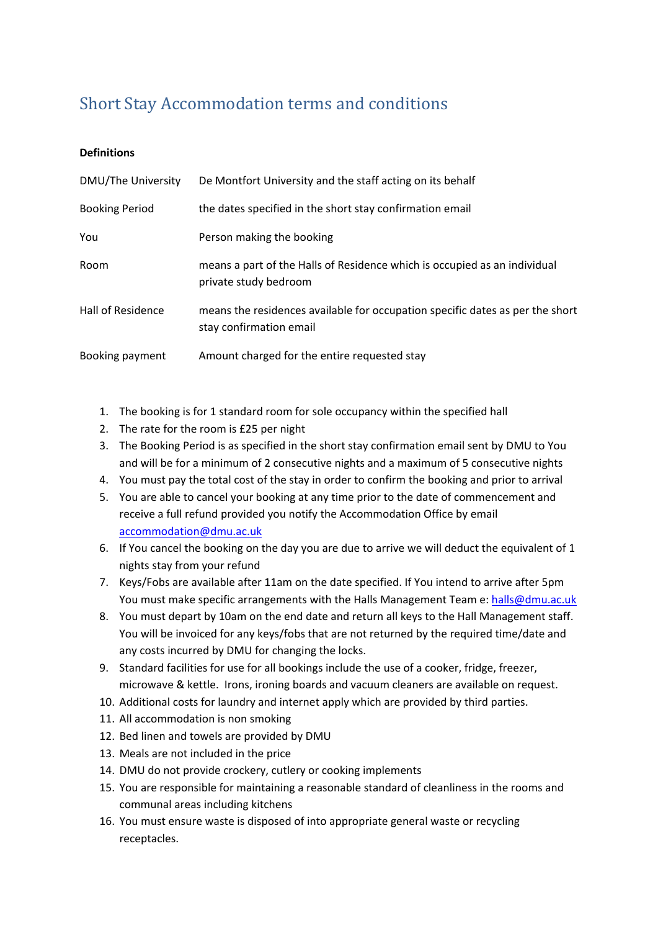## Short Stay Accommodation terms and conditions

## **Definitions**

| DMU/The University    | De Montfort University and the staff acting on its behalf                                                |
|-----------------------|----------------------------------------------------------------------------------------------------------|
| <b>Booking Period</b> | the dates specified in the short stay confirmation email                                                 |
| You                   | Person making the booking                                                                                |
| Room                  | means a part of the Halls of Residence which is occupied as an individual<br>private study bedroom       |
| Hall of Residence     | means the residences available for occupation specific dates as per the short<br>stay confirmation email |
| Booking payment       | Amount charged for the entire requested stay                                                             |

- 1. The booking is for 1 standard room for sole occupancy within the specified hall
- 2. The rate for the room is £25 per night
- 3. The Booking Period is as specified in the short stay confirmation email sent by DMU to You and will be for a minimum of 2 consecutive nights and a maximum of 5 consecutive nights
- 4. You must pay the total cost of the stay in order to confirm the booking and prior to arrival
- 5. You are able to cancel your booking at any time prior to the date of commencement and receive a full refund provided you notify the Accommodation Office by email [accommodation@dmu.ac.uk](mailto:accommodation@dmu.ac.uk)
- 6. If You cancel the booking on the day you are due to arrive we will deduct the equivalent of 1 nights stay from your refund
- 7. Keys/Fobs are available after 11am on the date specified. If You intend to arrive after 5pm You must make specific arrangements with the Halls Management Team e: [halls@dmu.ac.uk](mailto:halls@dmu.ac.uk)
- 8. You must depart by 10am on the end date and return all keys to the Hall Management staff. You will be invoiced for any keys/fobs that are not returned by the required time/date and any costs incurred by DMU for changing the locks.
- 9. Standard facilities for use for all bookings include the use of a cooker, fridge, freezer, microwave & kettle. Irons, ironing boards and vacuum cleaners are available on request.
- 10. Additional costs for laundry and internet apply which are provided by third parties.
- 11. All accommodation is non smoking
- 12. Bed linen and towels are provided by DMU
- 13. Meals are not included in the price
- 14. DMU do not provide crockery, cutlery or cooking implements
- 15. You are responsible for maintaining a reasonable standard of cleanliness in the rooms and communal areas including kitchens
- 16. You must ensure waste is disposed of into appropriate general waste or recycling receptacles.